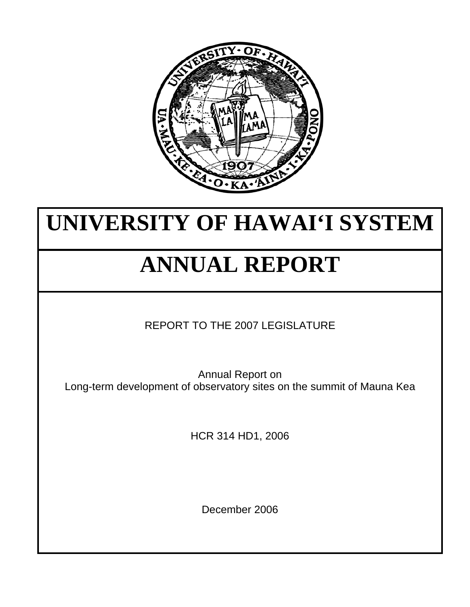

## **UNIVERSITY OF HAWAI'I SYSTEM**

# **ANNUAL REPORT**

REPORT TO THE 2007 LEGISLATURE

Annual Report on Long-term development of observatory sites on the summit of Mauna Kea

HCR 314 HD1, 2006

December 2006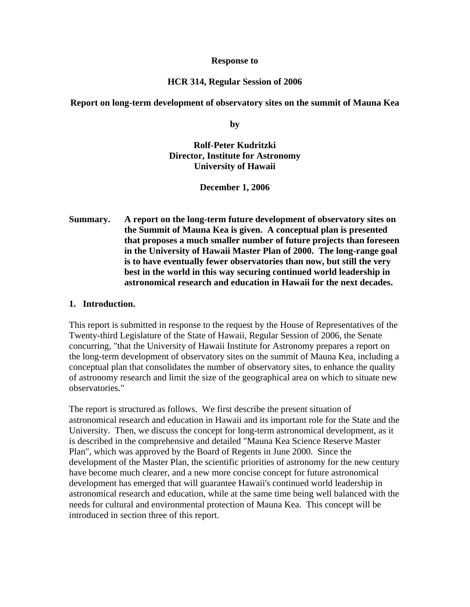#### **Response to**

#### **HCR 314, Regular Session of 2006**

#### **Report on long-term development of observatory sites on the summit of Mauna Kea**

**by** 

### **Rolf-Peter Kudritzki Director, Institute for Astronomy University of Hawaii**

**December 1, 2006** 

**Summary. A report on the long-term future development of observatory sites on the Summit of Mauna Kea is given. A conceptual plan is presented that proposes a much smaller number of future projects than foreseen in the University of Hawaii Master Plan of 2000. The long-range goal is to have eventually fewer observatories than now, but still the very best in the world in this way securing continued world leadership in astronomical research and education in Hawaii for the next decades.** 

#### **1. Introduction.**

This report is submitted in response to the request by the House of Representatives of the Twenty-third Legislature of the State of Hawaii, Regular Session of 2006, the Senate concurring, "that the University of Hawaii Institute for Astronomy prepares a report on the long-term development of observatory sites on the summit of Mauna Kea, including a conceptual plan that consolidates the number of observatory sites, to enhance the quality of astronomy research and limit the size of the geographical area on which to situate new observatories."

The report is structured as follows. We first describe the present situation of astronomical research and education in Hawaii and its important role for the State and the University. Then, we discuss the concept for long-term astronomical development, as it is described in the comprehensive and detailed "Mauna Kea Science Reserve Master Plan", which was approved by the Board of Regents in June 2000. Since the development of the Master Plan, the scientific priorities of astronomy for the new century have become much clearer, and a new more concise concept for future astronomical development has emerged that will guarantee Hawaii's continued world leadership in astronomical research and education, while at the same time being well balanced with the needs for cultural and environmental protection of Mauna Kea. This concept will be introduced in section three of this report.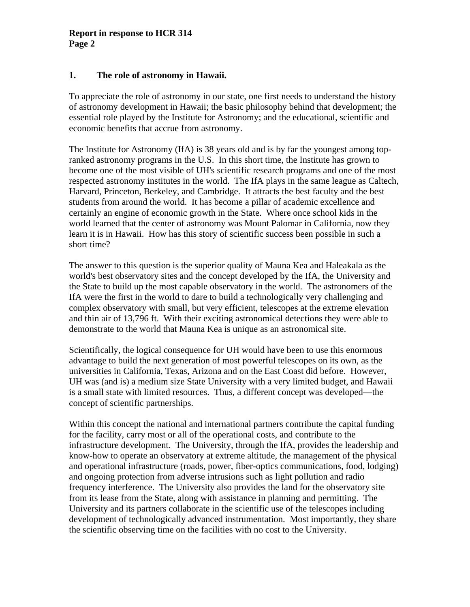#### **1. The role of astronomy in Hawaii.**

To appreciate the role of astronomy in our state, one first needs to understand the history of astronomy development in Hawaii; the basic philosophy behind that development; the essential role played by the Institute for Astronomy; and the educational, scientific and economic benefits that accrue from astronomy.

The Institute for Astronomy (IfA) is 38 years old and is by far the youngest among topranked astronomy programs in the U.S. In this short time, the Institute has grown to become one of the most visible of UH's scientific research programs and one of the most respected astronomy institutes in the world. The IfA plays in the same league as Caltech, Harvard, Princeton, Berkeley, and Cambridge. It attracts the best faculty and the best students from around the world. It has become a pillar of academic excellence and certainly an engine of economic growth in the State. Where once school kids in the world learned that the center of astronomy was Mount Palomar in California, now they learn it is in Hawaii. How has this story of scientific success been possible in such a short time?

The answer to this question is the superior quality of Mauna Kea and Haleakala as the world's best observatory sites and the concept developed by the IfA, the University and the State to build up the most capable observatory in the world. The astronomers of the IfA were the first in the world to dare to build a technologically very challenging and complex observatory with small, but very efficient, telescopes at the extreme elevation and thin air of 13,796 ft. With their exciting astronomical detections they were able to demonstrate to the world that Mauna Kea is unique as an astronomical site.

Scientifically, the logical consequence for UH would have been to use this enormous advantage to build the next generation of most powerful telescopes on its own, as the universities in California, Texas, Arizona and on the East Coast did before. However, UH was (and is) a medium size State University with a very limited budget, and Hawaii is a small state with limited resources. Thus, a different concept was developed—the concept of scientific partnerships.

Within this concept the national and international partners contribute the capital funding for the facility, carry most or all of the operational costs, and contribute to the infrastructure development. The University, through the IfA, provides the leadership and know-how to operate an observatory at extreme altitude, the management of the physical and operational infrastructure (roads, power, fiber-optics communications, food, lodging) and ongoing protection from adverse intrusions such as light pollution and radio frequency interference. The University also provides the land for the observatory site from its lease from the State, along with assistance in planning and permitting. The University and its partners collaborate in the scientific use of the telescopes including development of technologically advanced instrumentation. Most importantly, they share the scientific observing time on the facilities with no cost to the University.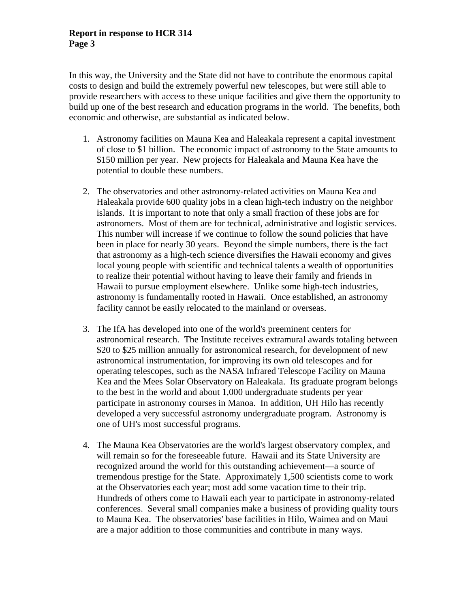In this way, the University and the State did not have to contribute the enormous capital costs to design and build the extremely powerful new telescopes, but were still able to provide researchers with access to these unique facilities and give them the opportunity to build up one of the best research and education programs in the world. The benefits, both economic and otherwise, are substantial as indicated below.

- 1. Astronomy facilities on Mauna Kea and Haleakala represent a capital investment of close to \$1 billion. The economic impact of astronomy to the State amounts to \$150 million per year. New projects for Haleakala and Mauna Kea have the potential to double these numbers.
- 2. The observatories and other astronomy-related activities on Mauna Kea and Haleakala provide 600 quality jobs in a clean high-tech industry on the neighbor islands. It is important to note that only a small fraction of these jobs are for astronomers. Most of them are for technical, administrative and logistic services. This number will increase if we continue to follow the sound policies that have been in place for nearly 30 years. Beyond the simple numbers, there is the fact that astronomy as a high-tech science diversifies the Hawaii economy and gives local young people with scientific and technical talents a wealth of opportunities to realize their potential without having to leave their family and friends in Hawaii to pursue employment elsewhere. Unlike some high-tech industries, astronomy is fundamentally rooted in Hawaii. Once established, an astronomy facility cannot be easily relocated to the mainland or overseas.
- 3. The IfA has developed into one of the world's preeminent centers for astronomical research. The Institute receives extramural awards totaling between \$20 to \$25 million annually for astronomical research, for development of new astronomical instrumentation, for improving its own old telescopes and for operating telescopes, such as the NASA Infrared Telescope Facility on Mauna Kea and the Mees Solar Observatory on Haleakala. Its graduate program belongs to the best in the world and about 1,000 undergraduate students per year participate in astronomy courses in Manoa. In addition, UH Hilo has recently developed a very successful astronomy undergraduate program. Astronomy is one of UH's most successful programs.
- 4. The Mauna Kea Observatories are the world's largest observatory complex, and will remain so for the foreseeable future. Hawaii and its State University are recognized around the world for this outstanding achievement—a source of tremendous prestige for the State. Approximately 1,500 scientists come to work at the Observatories each year; most add some vacation time to their trip. Hundreds of others come to Hawaii each year to participate in astronomy-related conferences. Several small companies make a business of providing quality tours to Mauna Kea. The observatories' base facilities in Hilo, Waimea and on Maui are a major addition to those communities and contribute in many ways.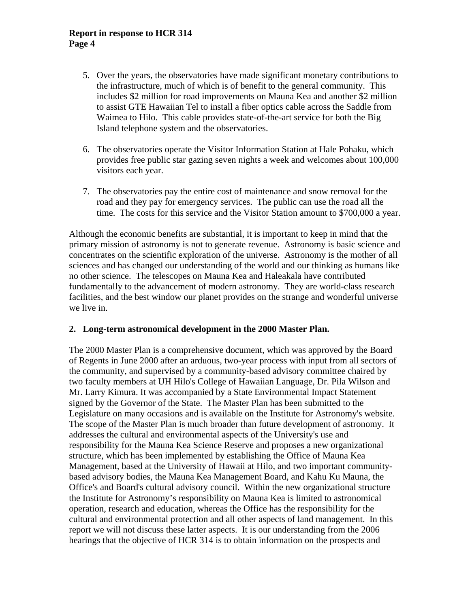- 5. Over the years, the observatories have made significant monetary contributions to the infrastructure, much of which is of benefit to the general community. This includes \$2 million for road improvements on Mauna Kea and another \$2 million to assist GTE Hawaiian Tel to install a fiber optics cable across the Saddle from Waimea to Hilo. This cable provides state-of-the-art service for both the Big Island telephone system and the observatories.
- 6. The observatories operate the Visitor Information Station at Hale Pohaku, which provides free public star gazing seven nights a week and welcomes about 100,000 visitors each year.
- 7. The observatories pay the entire cost of maintenance and snow removal for the road and they pay for emergency services. The public can use the road all the time. The costs for this service and the Visitor Station amount to \$700,000 a year.

Although the economic benefits are substantial, it is important to keep in mind that the primary mission of astronomy is not to generate revenue. Astronomy is basic science and concentrates on the scientific exploration of the universe. Astronomy is the mother of all sciences and has changed our understanding of the world and our thinking as humans like no other science. The telescopes on Mauna Kea and Haleakala have contributed fundamentally to the advancement of modern astronomy. They are world-class research facilities, and the best window our planet provides on the strange and wonderful universe we live in.

#### **2. Long-term astronomical development in the 2000 Master Plan.**

The 2000 Master Plan is a comprehensive document, which was approved by the Board of Regents in June 2000 after an arduous, two-year process with input from all sectors of the community, and supervised by a community-based advisory committee chaired by two faculty members at UH Hilo's College of Hawaiian Language, Dr. Pila Wilson and Mr. Larry Kimura. It was accompanied by a State Environmental Impact Statement signed by the Governor of the State. The Master Plan has been submitted to the Legislature on many occasions and is available on the Institute for Astronomy's website. The scope of the Master Plan is much broader than future development of astronomy. It addresses the cultural and environmental aspects of the University's use and responsibility for the Mauna Kea Science Reserve and proposes a new organizational structure, which has been implemented by establishing the Office of Mauna Kea Management, based at the University of Hawaii at Hilo, and two important communitybased advisory bodies, the Mauna Kea Management Board, and Kahu Ku Mauna, the Office's and Board's cultural advisory council. Within the new organizational structure the Institute for Astronomy's responsibility on Mauna Kea is limited to astronomical operation, research and education, whereas the Office has the responsibility for the cultural and environmental protection and all other aspects of land management. In this report we will not discuss these latter aspects. It is our understanding from the 2006 hearings that the objective of HCR 314 is to obtain information on the prospects and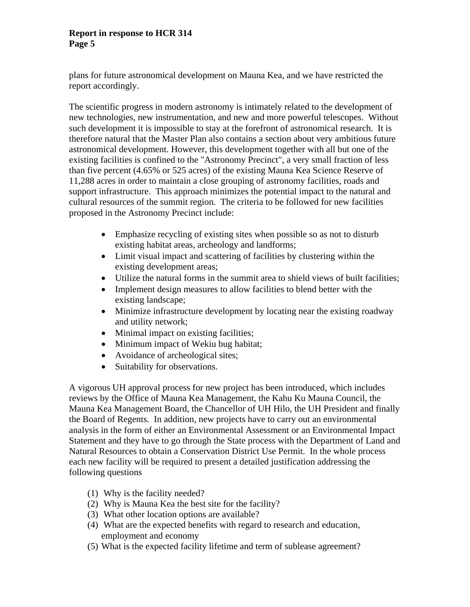plans for future astronomical development on Mauna Kea, and we have restricted the report accordingly.

The scientific progress in modern astronomy is intimately related to the development of new technologies, new instrumentation, and new and more powerful telescopes. Without such development it is impossible to stay at the forefront of astronomical research. It is therefore natural that the Master Plan also contains a section about very ambitious future astronomical development. However, this development together with all but one of the existing facilities is confined to the "Astronomy Precinct", a very small fraction of less than five percent (4.65% or 525 acres) of the existing Mauna Kea Science Reserve of 11,288 acres in order to maintain a close grouping of astronomy facilities, roads and support infrastructure. This approach minimizes the potential impact to the natural and cultural resources of the summit region. The criteria to be followed for new facilities proposed in the Astronomy Precinct include:

- Emphasize recycling of existing sites when possible so as not to disturb existing habitat areas, archeology and landforms;
- Limit visual impact and scattering of facilities by clustering within the existing development areas;
- Utilize the natural forms in the summit area to shield views of built facilities;
- Implement design measures to allow facilities to blend better with the existing landscape;
- Minimize infrastructure development by locating near the existing roadway and utility network;
- Minimal impact on existing facilities;
- Minimum impact of Wekiu bug habitat;
- Avoidance of archeological sites;
- Suitability for observations.

A vigorous UH approval process for new project has been introduced, which includes reviews by the Office of Mauna Kea Management, the Kahu Ku Mauna Council, the Mauna Kea Management Board, the Chancellor of UH Hilo, the UH President and finally the Board of Regents. In addition, new projects have to carry out an environmental analysis in the form of either an Environmental Assessment or an Environmental Impact Statement and they have to go through the State process with the Department of Land and Natural Resources to obtain a Conservation District Use Permit. In the whole process each new facility will be required to present a detailed justification addressing the following questions

- (1) Why is the facility needed?
- (2) Why is Mauna Kea the best site for the facility?
- (3) What other location options are available?
- (4) What are the expected benefits with regard to research and education, employment and economy
- (5) What is the expected facility lifetime and term of sublease agreement?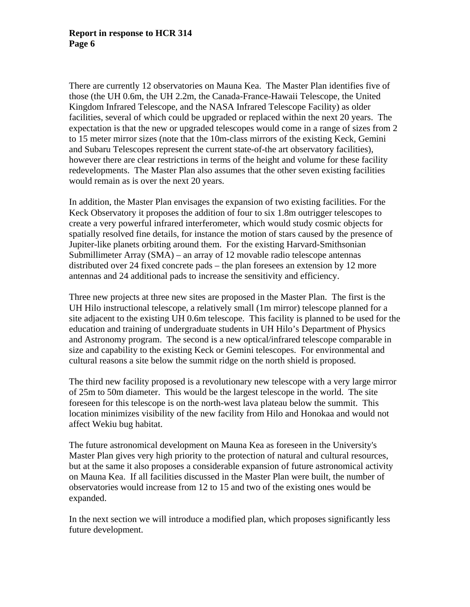There are currently 12 observatories on Mauna Kea. The Master Plan identifies five of those (the UH 0.6m, the UH 2.2m, the Canada-France-Hawaii Telescope, the United Kingdom Infrared Telescope, and the NASA Infrared Telescope Facility) as older facilities, several of which could be upgraded or replaced within the next 20 years. The expectation is that the new or upgraded telescopes would come in a range of sizes from 2 to 15 meter mirror sizes (note that the 10m-class mirrors of the existing Keck, Gemini and Subaru Telescopes represent the current state-of-the art observatory facilities), however there are clear restrictions in terms of the height and volume for these facility redevelopments. The Master Plan also assumes that the other seven existing facilities would remain as is over the next 20 years.

In addition, the Master Plan envisages the expansion of two existing facilities. For the Keck Observatory it proposes the addition of four to six 1.8m outrigger telescopes to create a very powerful infrared interferometer, which would study cosmic objects for spatially resolved fine details, for instance the motion of stars caused by the presence of Jupiter-like planets orbiting around them. For the existing Harvard-Smithsonian Submillimeter Array (SMA) – an array of 12 movable radio telescope antennas distributed over 24 fixed concrete pads – the plan foresees an extension by 12 more antennas and 24 additional pads to increase the sensitivity and efficiency.

Three new projects at three new sites are proposed in the Master Plan. The first is the UH Hilo instructional telescope, a relatively small (1m mirror) telescope planned for a site adjacent to the existing UH 0.6m telescope. This facility is planned to be used for the education and training of undergraduate students in UH Hilo's Department of Physics and Astronomy program. The second is a new optical/infrared telescope comparable in size and capability to the existing Keck or Gemini telescopes. For environmental and cultural reasons a site below the summit ridge on the north shield is proposed.

The third new facility proposed is a revolutionary new telescope with a very large mirror of 25m to 50m diameter. This would be the largest telescope in the world. The site foreseen for this telescope is on the north-west lava plateau below the summit. This location minimizes visibility of the new facility from Hilo and Honokaa and would not affect Wekiu bug habitat.

The future astronomical development on Mauna Kea as foreseen in the University's Master Plan gives very high priority to the protection of natural and cultural resources, but at the same it also proposes a considerable expansion of future astronomical activity on Mauna Kea. If all facilities discussed in the Master Plan were built, the number of observatories would increase from 12 to 15 and two of the existing ones would be expanded.

In the next section we will introduce a modified plan, which proposes significantly less future development.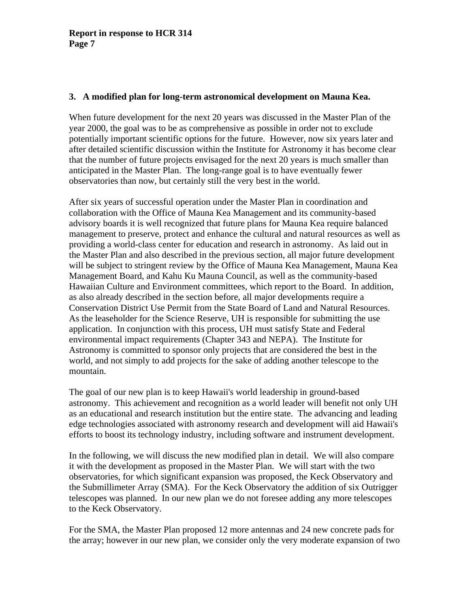#### **3. A modified plan for long-term astronomical development on Mauna Kea.**

When future development for the next 20 years was discussed in the Master Plan of the year 2000, the goal was to be as comprehensive as possible in order not to exclude potentially important scientific options for the future. However, now six years later and after detailed scientific discussion within the Institute for Astronomy it has become clear that the number of future projects envisaged for the next 20 years is much smaller than anticipated in the Master Plan. The long-range goal is to have eventually fewer observatories than now, but certainly still the very best in the world.

After six years of successful operation under the Master Plan in coordination and collaboration with the Office of Mauna Kea Management and its community-based advisory boards it is well recognized that future plans for Mauna Kea require balanced management to preserve, protect and enhance the cultural and natural resources as well as providing a world-class center for education and research in astronomy. As laid out in the Master Plan and also described in the previous section, all major future development will be subject to stringent review by the Office of Mauna Kea Management, Mauna Kea Management Board, and Kahu Ku Mauna Council, as well as the community-based Hawaiian Culture and Environment committees, which report to the Board. In addition, as also already described in the section before, all major developments require a Conservation District Use Permit from the State Board of Land and Natural Resources. As the leaseholder for the Science Reserve, UH is responsible for submitting the use application. In conjunction with this process, UH must satisfy State and Federal environmental impact requirements (Chapter 343 and NEPA). The Institute for Astronomy is committed to sponsor only projects that are considered the best in the world, and not simply to add projects for the sake of adding another telescope to the mountain.

The goal of our new plan is to keep Hawaii's world leadership in ground-based astronomy. This achievement and recognition as a world leader will benefit not only UH as an educational and research institution but the entire state. The advancing and leading edge technologies associated with astronomy research and development will aid Hawaii's efforts to boost its technology industry, including software and instrument development.

In the following, we will discuss the new modified plan in detail. We will also compare it with the development as proposed in the Master Plan. We will start with the two observatories, for which significant expansion was proposed, the Keck Observatory and the Submillimeter Array (SMA). For the Keck Observatory the addition of six Outrigger telescopes was planned. In our new plan we do not foresee adding any more telescopes to the Keck Observatory.

For the SMA, the Master Plan proposed 12 more antennas and 24 new concrete pads for the array; however in our new plan, we consider only the very moderate expansion of two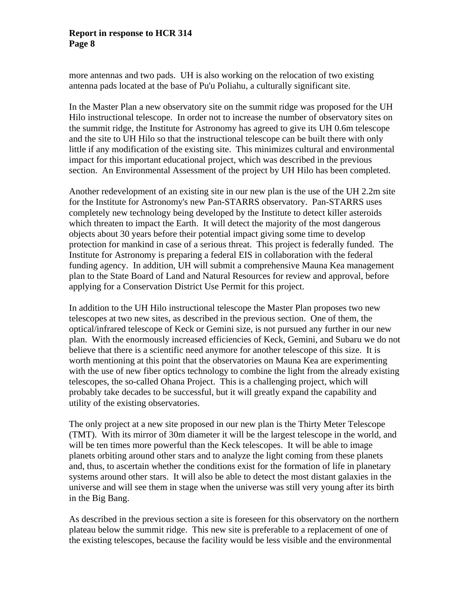more antennas and two pads. UH is also working on the relocation of two existing antenna pads located at the base of Pu'u Poliahu, a culturally significant site.

In the Master Plan a new observatory site on the summit ridge was proposed for the UH Hilo instructional telescope. In order not to increase the number of observatory sites on the summit ridge, the Institute for Astronomy has agreed to give its UH 0.6m telescope and the site to UH Hilo so that the instructional telescope can be built there with only little if any modification of the existing site. This minimizes cultural and environmental impact for this important educational project, which was described in the previous section. An Environmental Assessment of the project by UH Hilo has been completed.

Another redevelopment of an existing site in our new plan is the use of the UH 2.2m site for the Institute for Astronomy's new Pan-STARRS observatory. Pan-STARRS uses completely new technology being developed by the Institute to detect killer asteroids which threaten to impact the Earth. It will detect the majority of the most dangerous objects about 30 years before their potential impact giving some time to develop protection for mankind in case of a serious threat. This project is federally funded. The Institute for Astronomy is preparing a federal EIS in collaboration with the federal funding agency. In addition, UH will submit a comprehensive Mauna Kea management plan to the State Board of Land and Natural Resources for review and approval, before applying for a Conservation District Use Permit for this project.

In addition to the UH Hilo instructional telescope the Master Plan proposes two new telescopes at two new sites, as described in the previous section. One of them, the optical/infrared telescope of Keck or Gemini size, is not pursued any further in our new plan. With the enormously increased efficiencies of Keck, Gemini, and Subaru we do not believe that there is a scientific need anymore for another telescope of this size. It is worth mentioning at this point that the observatories on Mauna Kea are experimenting with the use of new fiber optics technology to combine the light from the already existing telescopes, the so-called Ohana Project. This is a challenging project, which will probably take decades to be successful, but it will greatly expand the capability and utility of the existing observatories.

The only project at a new site proposed in our new plan is the Thirty Meter Telescope (TMT). With its mirror of 30m diameter it will be the largest telescope in the world, and will be ten times more powerful than the Keck telescopes. It will be able to image planets orbiting around other stars and to analyze the light coming from these planets and, thus, to ascertain whether the conditions exist for the formation of life in planetary systems around other stars. It will also be able to detect the most distant galaxies in the universe and will see them in stage when the universe was still very young after its birth in the Big Bang.

As described in the previous section a site is foreseen for this observatory on the northern plateau below the summit ridge. This new site is preferable to a replacement of one of the existing telescopes, because the facility would be less visible and the environmental